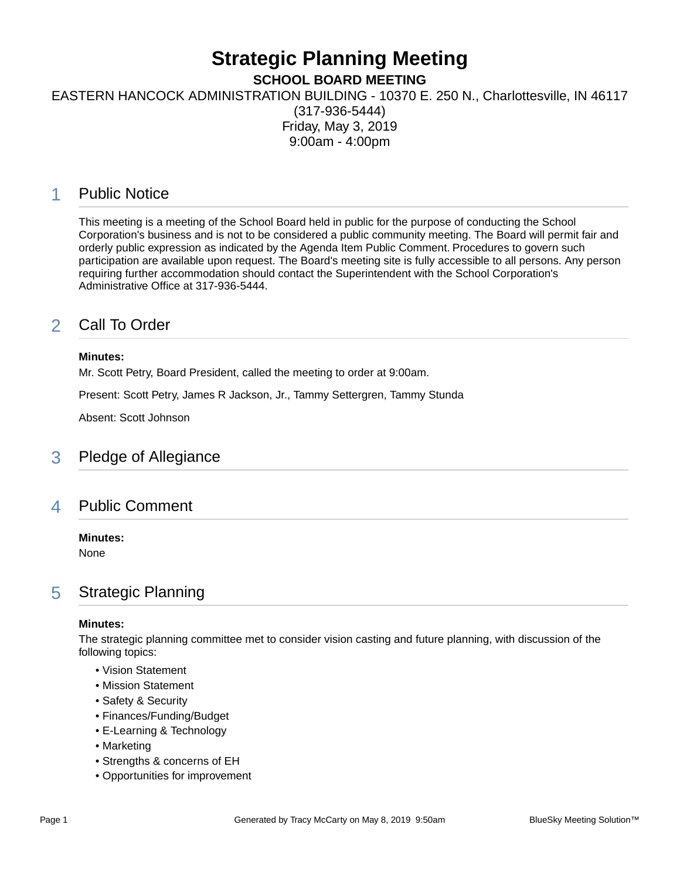# **Strategic Planning Meeting**

**SCHOOL BOARD MEETING**

EASTERN HANCOCK ADMINISTRATION BUILDING - 10370 E. 250 N., Charlottesville, IN 46117

(317-936-5444) Friday, May 3, 2019 9:00am - 4:00pm

## 1 Public Notice

This meeting is a meeting of the School Board held in public for the purpose of conducting the School Corporation's business and is not to be considered a public community meeting. The Board will permit fair and orderly public expression as indicated by the Agenda Item Public Comment. Procedures to govern such participation are available upon request. The Board's meeting site is fully accessible to all persons. Any person requiring further accommodation should contact the Superintendent with the School Corporation's Administrative Office at 317-936-5444.

# 2 Call To Order

#### **Minutes:**

Mr. Scott Petry, Board President, called the meeting to order at 9:00am.

Present: Scott Petry, James R Jackson, Jr., Tammy Settergren, Tammy Stunda

Absent: Scott Johnson

## 3 Pledge of Allegiance

## 4 Public Comment

#### **Minutes:**

None

## 5 Strategic Planning

#### **Minutes:**

The strategic planning committee met to consider vision casting and future planning, with discussion of the following topics:

- Vision Statement
- Mission Statement
- Safety & Security
- Finances/Funding/Budget
- E-Learning & Technology
- Marketing
- Strengths & concerns of EH
- Opportunities for improvement